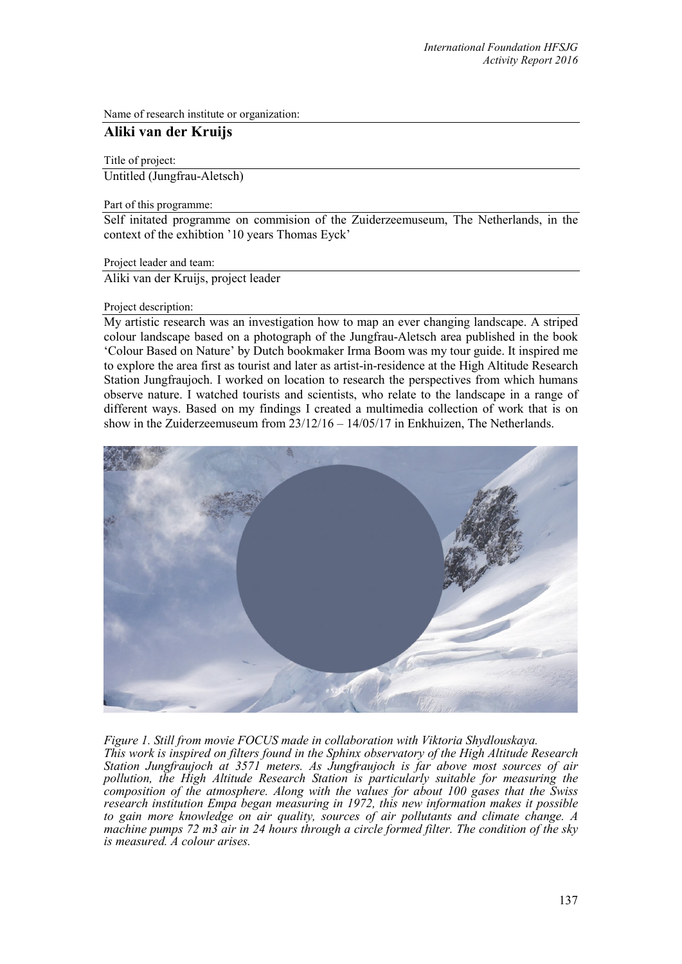Name of research institute or organization:

# **Aliki van der Kruijs**

Title of project:

Untitled (Jungfrau-Aletsch)

Part of this programme:

Self initated programme on commision of the Zuiderzeemuseum, The Netherlands, in the context of the exhibtion '10 years Thomas Eyck'

Project leader and team:

Aliki van der Kruijs, project leader

## Project description:

My artistic research was an investigation how to map an ever changing landscape. A striped colour landscape based on a photograph of the Jungfrau-Aletsch area published in the book 'Colour Based on Nature' by Dutch bookmaker Irma Boom was my tour guide. It inspired me to explore the area first as tourist and later as artist-in-residence at the High Altitude Research Station Jungfraujoch. I worked on location to research the perspectives from which humans observe nature. I watched tourists and scientists, who relate to the landscape in a range of different ways. Based on my findings I created a multimedia collection of work that is on show in the Zuiderzeemuseum from 23/12/16 – 14/05/17 in Enkhuizen, The Netherlands.



*Figure 1. Still from movie FOCUS made in collaboration with Viktoria Shydlouskaya. This work is inspired on filters found in the Sphinx observatory of the High Altitude Research* 

*Station Jungfraujoch at 3571 meters. As Jungfraujoch is far above most sources of air pollution, the High Altitude Research Station is particularly suitable for measuring the composition of the atmosphere. Along with the values for about 100 gases that the Swiss research institution Empa began measuring in 1972, this new information makes it possible to gain more knowledge on air quality, sources of air pollutants and climate change. A machine pumps 72 m3 air in 24 hours through a circle formed filter. The condition of the sky is measured. A colour arises.*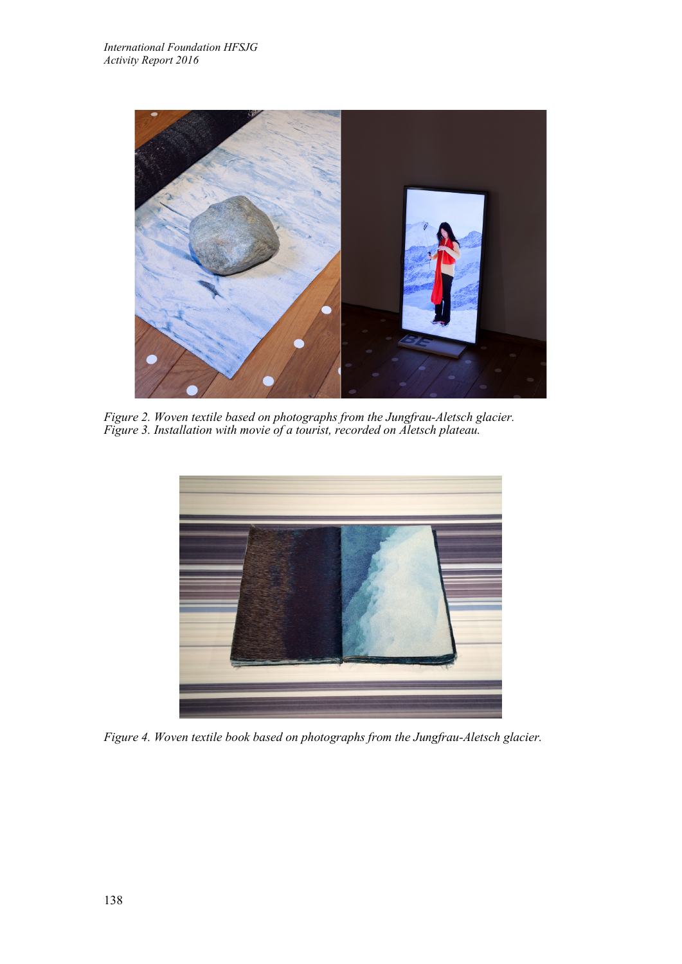

*Figure 2. Woven textile based on photographs from the Jungfrau-Aletsch glacier. Figure 3. Installation with movie of a tourist, recorded on Aletsch plateau.* 



*Figure 4. Woven textile book based on photographs from the Jungfrau-Aletsch glacier.*